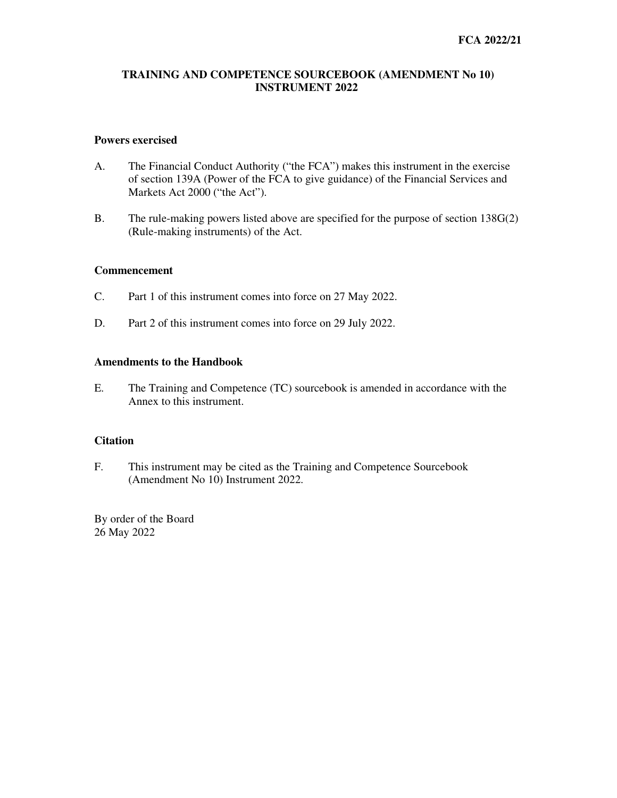### **TRAINING AND COMPETENCE SOURCEBOOK (AMENDMENT No 10) INSTRUMENT 2022**

### **Powers exercised**

- A. The Financial Conduct Authority ("the FCA") makes this instrument in the exercise of section 139A (Power of the FCA to give guidance) of the Financial Services and Markets Act 2000 ("the Act").
- B. The rule-making powers listed above are specified for the purpose of section 138G(2) (Rule-making instruments) of the Act.

#### **Commencement**

- C. Part 1 of this instrument comes into force on 27 May 2022.
- D. Part 2 of this instrument comes into force on 29 July 2022.

### **Amendments to the Handbook**

E. The Training and Competence (TC) sourcebook is amended in accordance with the Annex to this instrument.

### **Citation**

F. This instrument may be cited as the Training and Competence Sourcebook (Amendment No 10) Instrument 2022.

By order of the Board 26 May 2022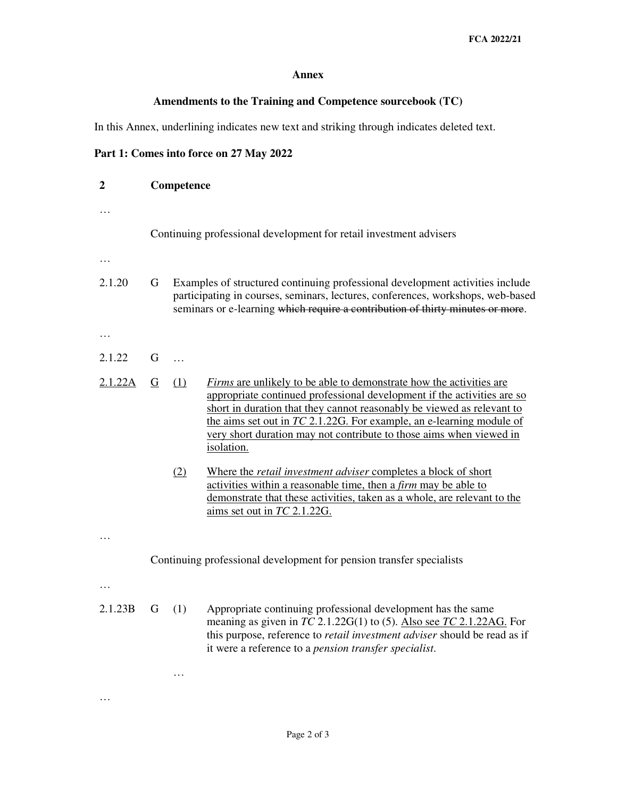### **Annex**

# **Amendments to the Training and Competence sourcebook (TC)**

In this Annex, underlining indicates new text and striking through indicates deleted text.

# **Part 1: Comes into force on 27 May 2022**

…

| $\overline{2}$ | Competence                                                         |                                                                                                                                                                                                                                                    |                                                                                                                                                                                                                                                                                                                                                                                                |  |
|----------------|--------------------------------------------------------------------|----------------------------------------------------------------------------------------------------------------------------------------------------------------------------------------------------------------------------------------------------|------------------------------------------------------------------------------------------------------------------------------------------------------------------------------------------------------------------------------------------------------------------------------------------------------------------------------------------------------------------------------------------------|--|
|                | Continuing professional development for retail investment advisers |                                                                                                                                                                                                                                                    |                                                                                                                                                                                                                                                                                                                                                                                                |  |
|                |                                                                    |                                                                                                                                                                                                                                                    |                                                                                                                                                                                                                                                                                                                                                                                                |  |
| 2.1.20         | G                                                                  | Examples of structured continuing professional development activities include<br>participating in courses, seminars, lectures, conferences, workshops, web-based<br>seminars or e-learning which require a contribution of thirty minutes or more. |                                                                                                                                                                                                                                                                                                                                                                                                |  |
| .              |                                                                    |                                                                                                                                                                                                                                                    |                                                                                                                                                                                                                                                                                                                                                                                                |  |
| 2.1.22         | G                                                                  | $\ddotsc$                                                                                                                                                                                                                                          |                                                                                                                                                                                                                                                                                                                                                                                                |  |
| 2.1.22A        | $\overline{G}$                                                     | (1)                                                                                                                                                                                                                                                | <i>Firms</i> are unlikely to be able to demonstrate how the activities are<br>appropriate continued professional development if the activities are so<br>short in duration that they cannot reasonably be viewed as relevant to<br>the aims set out in $TC$ 2.1.22G. For example, an e-learning module of<br>very short duration may not contribute to those aims when viewed in<br>isolation. |  |
|                |                                                                    | (2)                                                                                                                                                                                                                                                | Where the <i>retail investment adviser</i> completes a block of short<br>activities within a reasonable time, then a <i>firm</i> may be able to<br>demonstrate that these activities, taken as a whole, are relevant to the<br>aims set out in TC 2.1.22G.                                                                                                                                     |  |
|                |                                                                    |                                                                                                                                                                                                                                                    |                                                                                                                                                                                                                                                                                                                                                                                                |  |
|                |                                                                    | Continuing professional development for pension transfer specialists                                                                                                                                                                               |                                                                                                                                                                                                                                                                                                                                                                                                |  |
|                |                                                                    |                                                                                                                                                                                                                                                    |                                                                                                                                                                                                                                                                                                                                                                                                |  |
| 2.1.23B        | G                                                                  | (1)                                                                                                                                                                                                                                                | Appropriate continuing professional development has the same<br>meaning as given in $TC$ 2.1.22G(1) to (5). Also see $TC$ 2.1.22AG. For<br>this purpose, reference to <i>retail investment adviser</i> should be read as if<br>it were a reference to a pension transfer specialist.                                                                                                           |  |
|                |                                                                    | .                                                                                                                                                                                                                                                  |                                                                                                                                                                                                                                                                                                                                                                                                |  |